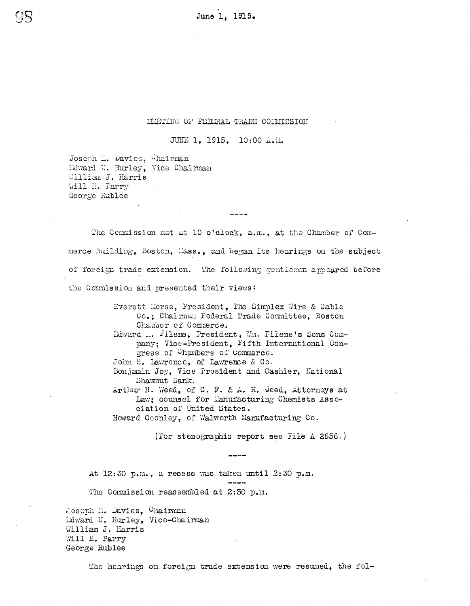June 1, 1915.

# MEETING OF FEDERAL TRADE COMMISSION

JUNE 1, 1915, 10:00 A.M.

Joseph D. Davies, Chairman Edward N. Hurley, Vice Chairman William J. Harris Will H. Parry George Rublee

The Commission met at 10 o'clock, a.m., at the Chamber of Commerce Building, Boston, Mass., and began its hearings on the subject of foreign trade extension. The following gentlemen appeared before the Commission and presented their views:

> Everett Morss, President, The Simplex Wire & Cable Co.; Chairman Federal Trade Committee, Boston Chamber of Commerce. Edward ... Filene, President, Wm. Filene's Sons Company; Vice-President, Fifth International Congress of Chambers of Commerce. John S. Lawrence, of Lawrence & Co. Benjamin Joy, Vice President and Cashier, Mational Shawmut Bank. Arthur H. Weed, of C. F. & A. H. Weed, Attorneys at Law: counsel for Manufacturing Chemists Association of United States. Howard Coonley, of Walworth Manufacturing Co.

> > (For stenographic report see File A 2656.)

At 12:30 p.m., a recess was taken until 2:30 p.m. The Commission reassembled at 2:30 p.m.

Joseph D. Davies, Chairman Ldward K. Hurley, Vice-Chairman William J. Harris Will H. Parry George Rublee

The hearings on foreign trade extension were resumed, the fol-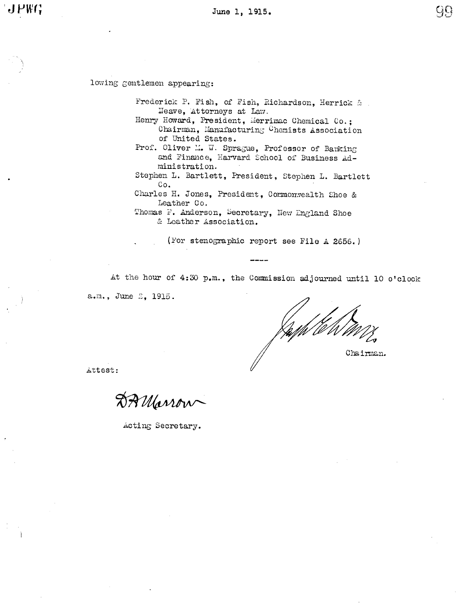99

lowing gentlemen appearing:

Frederick P. Fish, of Fish, Richardson, Herrick & Neave, Attorneys at Law.

Henry Howard, President, Merrimac Chemical Co.; Chairman, Manufacturing Chemists Association of United States.

Prof. Oliver M. W. Sprague, Professor of Banking and Finance, Harvard School of Business Administration.

Stephen L. Bartlett, President, Stephen L. Bartlett Co.

Charles H. Jones, President, Commonwealth Shoe & Leather Co.

Thomas F. Anderson, Secretary, New England Shoe & Leather Association.

(For stenographic report see File A 2656.)

At the hour of 4:30 p.m., the Commission adjourned until 10 o'clock a.m., June 2, 1915.

Chairman.

Attest:

DAMarrow

Acting Secretary.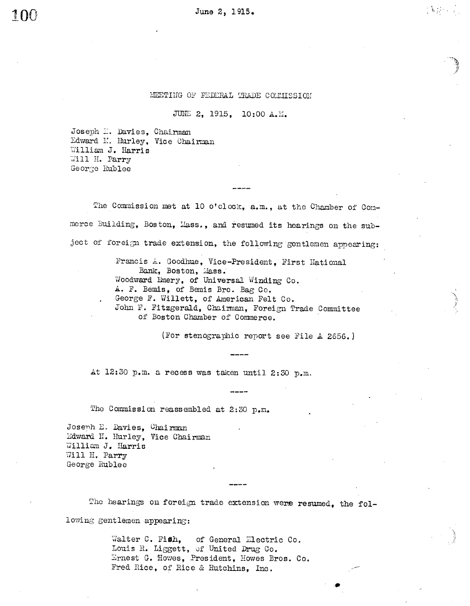# MEETING OF FEDERAL TRADE COMMISSION

# JUNE 2, 1915. 10:00 A.M.

Joseph D. Davies, Chairman Edward N. Hurley, Vice Chairman William J. Harris Will H. Parry George Rublee

The Commission met at 10 o'clock, a.m., at the Chamber of Commerce Building, Boston, Mass., and resumed its hearings on the subject of foreign trade extension, the following gentlemen appearing:

> Francis A. Goodhue, Vice-President, First Hational Bank, Boston, Mass. Woodward Emery, of Universal Winding Co. A. F. Bemis, of Bemis Bro. Bag Co. George F. Willett, of American Felt Co. John F. Fitzgerald, Chaimman, Foreign Trade Committee of Boston Chamber of Commerce.

> > (For stenographic report see File A 2656.)

At 12:30 p.m. a recess was taken until 2:30 p.m.

The Commission reassembled at 2:30 p.m.

Joseph E. Davies, Chairman Edward N. Hurley, Vice Chairman William J. Harris Will H. Parry George Rublee

The hearings on foreign trade extension were resumed, the fol-

lowing gentlemen appearing:

Walter C. Fish, of General Electric Co. Louis R. Liggett, of United Drug Co. Ernest G. Howes, President, Howes Bros. Co. Fred Rice, of Rice & Hutchins, Inc.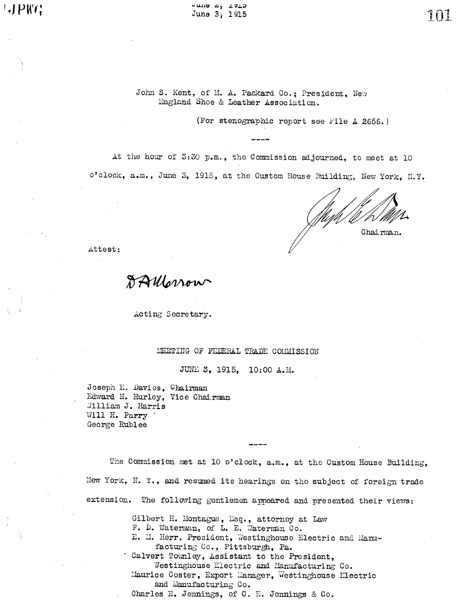$JPTG$ 

eune a, rata June 3, 1915

101

John S. Kent, of M. A. Packard Co.; President, New England Shoe & Leather Association.

(For stenographic report see File A 2656.)

at the hour of 3:30 p.m., the Commission adjourned, to meet at 10 o'clock, a.m., June 3, 1915, at the Custom House Building, New York, N.Y.

Chairman.

Attest:

DAllonow

Acting Secretary.

# MEETING OF FEDERAL TRADE COMMISSION

JUNE 3, 1915, 10:00 A.M.

Joseph E. Davies, Chairman Edward N. Hurley, Vice Chairman William J. Harris Will H. Parry George Rublee

The Commission met at 10 o'clock, a.m., at the Custom House Building, New York, N. Y., and resumed its hearings on the subject of foreign trade extension. The following gentlemen appeared and presented their views:

> Gilbert H. Montague, Esq., attorney at Law F. D. Waterman, of L. E. Waterman Co.

E. M. Herr, President, Westinghouse Electric and Manufacturing Co., Pittsburgh, Pa.

Calvert Townley, Assistant to the President, Westinghouse Electric and Manufacturing Co. Maurice Coster, Export Manager, Westinghouse Electric and Manufacturing Co. Charles E. Jennings, of C. E. Jennings & Co.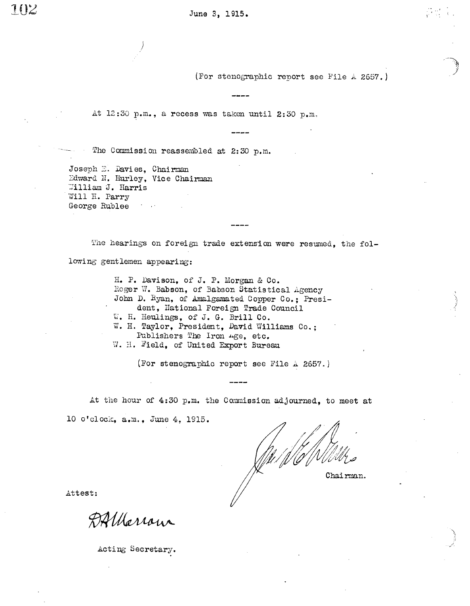(For stenographic report see File A 2657.)

At 12:30 p.m., a recess was taken until 2:30 p.m.

The Commission reassembled at 2:30 p.m.

Joseph E. Davies, Chairman Edward N. Hurley, Vice Chairman William J. Harris Will H. Parry George Rublee  $\mathcal{T}=\{x\}$ 

The hearings on foreign trade extension were resumed, the following gentlemen appearing:

د د د د د

H. P. Davison, of J. P. Morgan & Co. Roger W. Babson, of Babson Statistical Agency John D. Ryan, of Amalgamated Copper Co.; President, National Foreign Trade Council W. H. Heulings, of J. G. Brill Co. W. H. Taylor, President, David Williams Co.: Publishers The Iron Age, etc. W. H. Field, of United Export Bureau

(For stenographic report see File A 2657.)

At the hour of 4:30 p.m. the Commission adjourned, to meet at 10 o'clock, a.m., June 4, 1915.

Chairman.

Attest:

DAllarrow

Acting Secretary.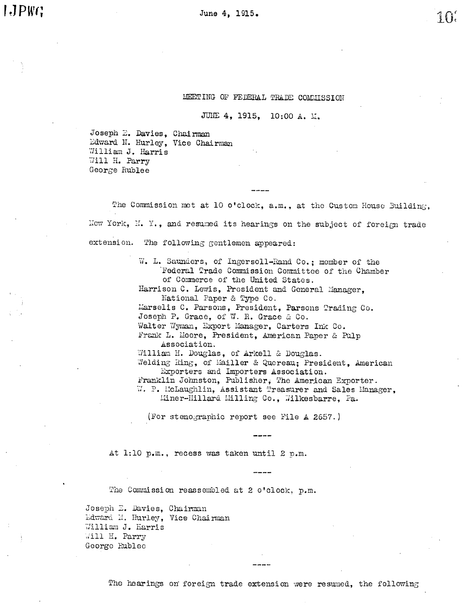**I**.JPWG

# MEETING OF FEDERAL TRADE COMMISSION

JUNE 4, 1915, 10:00 A. M.

Joseph E. Davies, Chairman Edward N. Hurley, Vice Chairman William J. Harris Will H. Parry George Rublee

The Commission met at 10 o'clock, a.m., at the Custom House Building, New York, N. Y., and resumed its hearings on the subject of foreign trade extension. The following gentlemen appeared:

> W. L. Saunders, of Ingersoll-Rand Co.; member of the Federal Trade Commission Committee of the Chamber of Commerce of the United States. Harrison C. Lewis, President and General Manager. National Paper & Type Co. Marselis C. Parsons, President, Parsons Trading Co. Joseph P. Grace, of W. R. Grace & Co. Walter Wyman, Export Manager, Carters Ink Co. Frank L. Moore, President, American Paper & Pulp Association. William H. Douglas, of Arkell & Douglas. Welding Ring, of Mailler & Quereau: President, American Exporters and Importers Association. Franklin Johnston, Publisher, The American Exporter. W. P. McLaughlin, Assistant Treasurer and Sales Manager. Miner-Millard Milling Co., Wilkesbarre, Pa.

(For stenographic report see File A 2657.)

At 1:10 p.m., recess was taken until 2 p.m.

The Commission reassembled at 2 o'clock, p.m.

Joseph E. Davies, Chairman Edward N. Hurley, Vice Chairman William J. Harris Will H. Parry George Rublee

The hearings on foreign trade extension were resumed, the following

 $\frac{1}{2}$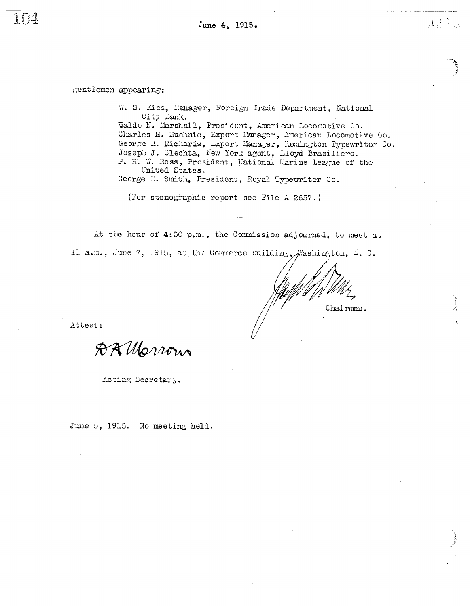June 4, 1915.

gentlemen appearing:

T I J

W. S. Kies, Manager, Forcign Trade Department, National City Bank. Waldo H. Marshall, President, American Locomotive Co. Charles M. Muchnic, Export Manager, American Locomotive Co. George H. Richards, Export Manager, Remington Typewriter Co. Joseph J. Slechta, New York agent, Lloyd Braziliero. P. H. W. Ross, President, Mational Marine League of the United States.

George E. Smith, President, Royal Typewriter Co.

(For stenographic report see File A 2657.)

At the hour of 4:30 p.m., the Commission adjourned, to meet at 11 a.m., June 7, 1915, at the Commerce Euilding, Washington, D. C.

Chairman.

题是。

Attest:

DA Morrous

Acting Secretary.

June 5, 1915. No meeting held.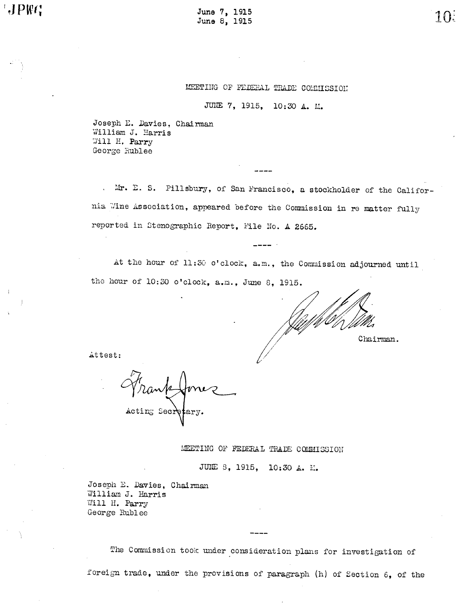June 7, 1915 June 8, 1915

MEETING OF FEDERAL TRADE COMMISSION

JURE 7, 1915, 10:30 A. M.

Joseph E. Davies, Chairman William J. Harris Will H. Parry George Rublee

Mr. E. S. Pillsbury, of San Francisco, a stockholder of the California Wine Association, appeared before the Commission in re matter fully reported in Stenographic Report, File No. A 2665.

At the hour of 11:30 o'clock, a.m., the Commission adjourned until the hour of 10:30 o'clock, a.m., June 8, 1915.

Chairman.

Attest:

Acting Secr

MEETING OF FEDERAL TRADE COMMISSION

JUNE 8, 1915, 10:30 A. M.

Joseph E. Davies, Chairman William J. Harris Will H. Parry George Rublee

The Commission took under consideration plans for investigation of

foreign trade, under the provisions of paragraph (h) of Section 6, of the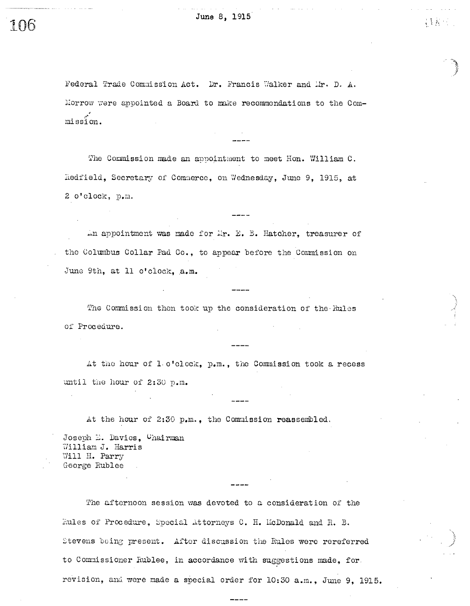$\mathcal{L}(\mathcal{L}(\mathcal{L}))$ 

Federal Trade Commission Act. Dr. Francis Walker and Mr. D. A. Morrow were appointed a Board to make recommendations to the Commission.

The Commission made an appointment to meet Hon. William C. Redfield, Secretary of Commerce, on Wednesday, June 9, 1915, at 2 o'clock, p.m.

An appointment was made for Mr. E. B. Hatcher, treasurer of the Columbus Collar Pad Co., to appear before the Commission on June 9th, at 11 o'clock, a.m.

-----

The Commission then took up the consideration of the Rules of Procedure.

At the hour of 1 o'clock, p.m., the Commission took a recess until the hour of 2:30 p.m.

At the hour of 2:30 p.m., the Commission reassembled.

Joseph E. Davies, Chairman William J. Harris Will H. Parry George Rublee

The afternoon session was devoted to a consideration of the Fules of Procedure, Special Attorneys C. H. McDonald and R. B. Stevens being present. After discussion the Rules were rereferred to Commissioner Rublee, in accordance with suggestions made, for revision, and were made a special order for 10:30 a.m., June 9, 1915.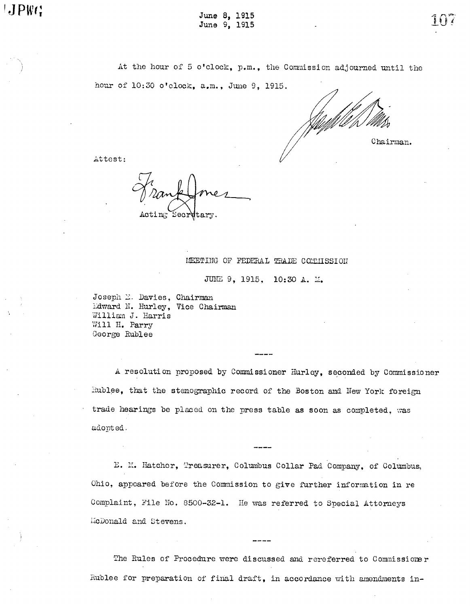At the hour of 5 o'clock, p.m., the Commission adjourned until the hour of 10:30 o'clock, a.m., June 9, 1915.

Chairman.

Attest:

Secretary

### MEETING OF FEDERAL TRADE COMMISSION

JUNE 9, 1915, 10:30 A. M.

Joseph E. Davies, Chairman Edward N. Hurley, Vice Chairman William J. Harris Will H. Parry George Rublee

A resolution proposed by Commissioner Hurley, seconded by Commissioner Rublee, that the stenographic record of the Boston and New York foreign trade hearings be placed on the press table as soon as completed, was adonted.

E. M. Hatcher, Treasurer, Columbus Collar Pad Company, of Columbus, Ohio, appeared before the Commission to give further information in re Complaint, File No. 8500-32-1. He was referred to Special Attorneys McDonald and Stevens.

The Rules of Procedure were discussed and rereferred to Commissioner Rublee for preparation of final draft, in accordance with amendments in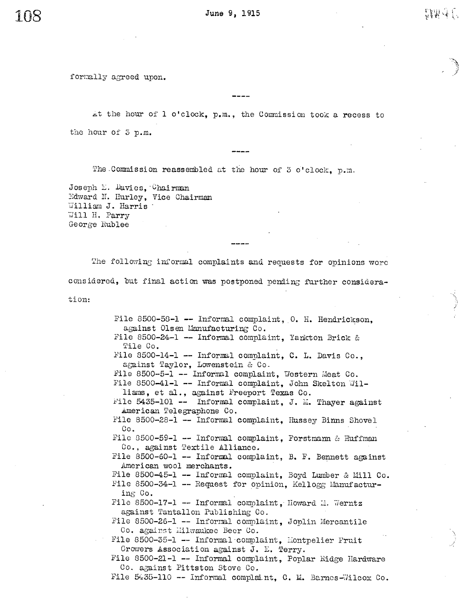June 9, 1915

formally agreed upon.

at the hour of 1 o'clock, p.m., the Commission took a recess to the hour of 5 p.m.

The Commission reassembled at the hour of 3 o'clock, p.m.

Joseph L. Davies, Chairman Edward N. Hurley, Vice Chairman William J. Harris Will H. Parry George Rublee

The following informal complaints and requests for opinions were considered, but final action was postponed pending further consideration:

> File 8500-58-1 -- Informal complaint, 0. H. Hendrickson, against Olsen Manufacturing Co. File 8500-24-1 -- Informal complaint, Yankton Brick & Tile Co. File 8500-14-1 -- Informal complaint, C. L. Davis Co., against Taylor, Lowenstein & Co. File 8500-5-1 -- Informal complaint, Western Meat Co. File 8500-41-1 -- Informal complaint, John Skelton Williams, et al., against Freeport Texas Co. File 5435-101 -- Informal complaint, J. M. Thayer against American Telegraphone Co. File 8500-28-1 -- Informal complaint. Hussey Binns Shovel Co. File 8500-59-1 -- Informal complaint, Forstmann & Huffman Co., against Textile Alliance. File 8500-60-1 -- Informal complaint, B. F. Bennett against American wool merchants. File 8500-45-1 -- Informal complaint, Boyd Lumber & Mill Co. File 8500-34-1 -- Request for opinion, Kellogg Manufacturing Co. File 8500-17-1 -- Informal complaint. Howard M. Werntz against Tantallon Publishing Co. File 8500-26-1 -- Informal complaint, Joplin Mercantile Co. against Milwaukee Beer Co. File 8500-35-1 -- Informal complaint, Montpelier Fruit Growers Association against J. E. Terry. File 8500-21-1 -- Informal complaint, Poplar Ridge Hardware Co. against Pittston Stove Co. File 5435-110 -- Informal complaint, C. M. Barnes-Wilcox Co.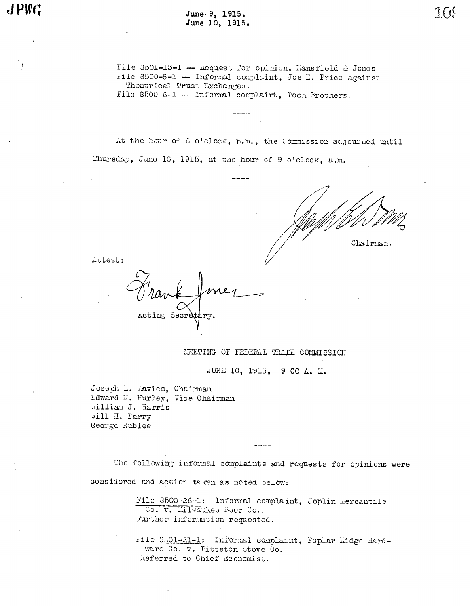June 9, 1915. June 10, 1915.

File 8501-13-1 -- Request for opinion, Mansfield & Jones File 8500-8-1 -- Informal complaint, Joe E. Price against Theatrical Trust Exchanges. File 8500-6-1 -- Informal complaint, Toch Brothers.

At the hour of 6 o'clock, p.m., the Commission adjourned until Thursday, June 10, 1915, at the hour of 9 o'clock, a.m.

Chairman.

Attest:

Acting Secr

MEETING OF FEDERAL TRADE COMMISSION

JUNE 10, 1915, 9:00 A. M.

Joseph L. Davies, Chairman Edward N. Hurley, Vice Chairman William J. Harris Will H. Parry George Rublee

The following informal complaints and requests for opinions were considered and action taken as noted below:

> File 8500-26-1: Informal complaint, Joplin Mercantile Co. v. Milwaukee Beer Co. Further information requested.

File 8501-21-1: Informal complaint, Poplar Hidge Hardware Co. v. Pittston Stove Co. Referred to Chief Economist.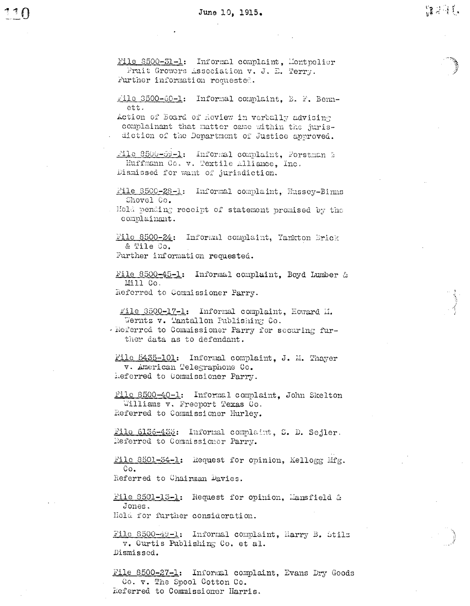File 8500-31-1: Informal complaint, Montpelier Fruit Growers Association v. J. E. Terry. Further information requested. rile 3500-60-1: Informal complaint, B. F. Bennett. Action of Board of Review in verbally advising complainant that matter came within the jurisdiction of the Department of Justice approved. File 8500-59-1: Informal complaint, Forstman & Huffmann Co. v. Textile Alliance, Inc. Dismissed for want of jurisdiction. File 8500-28-1: Informal complaint, Hussey-Binns Shovel Co. Held pending receipt of statement promised by the complainant. File 8500-24: Informal complaint, Yankton Brick & Tile Co. Further information requested. File 8500-45-1: Informal complaint. Boyd Lumber & Mill Co. Referred to Commissioner Parry. File 3500-17-1: Informal complaint, Howard M. Werntz v. Tantallon Fublishing Co. - Referred to Commissioner Parry for securing further data as to defendant. File 5435-101: Informal complaint, J. M. Thayer v. American Telegraphone Co. heferred to Commissioner Parry. File 8500-40-1: Informal complaint. John Skelton Williams v. Freeport Texas Co. Referred to Commissioner Hurley. File 6136-432: Informal complaint, S. D. Sejler. Referred to Commissioner Parry. File 8501-34-1: Request for opinion, Kellogg Mfg.  $Co.$ Referred to Chairman Davies. File 8501-13-1: Request for opinion, Mansfield & Jones. Held for further consideration. File 8500-49-1: Informal complaint, Harry B. Stilz v. Curtis Publishing Co. et al. Dismissed.

File 8500-27-1: Informal complaint, Evans Dry Goods Co. v. The Spool Cotton Co. Referred to Commissioner Harris.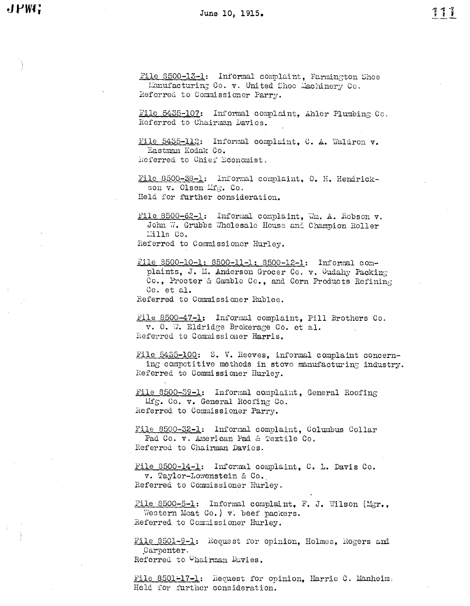File 8500-13-1: Informal complaint, Farmington Shoe Lanufacturing Co. v. United Shoc Machinery Co. Referred to Commissioner Parry.

File 5435-107: Informal complaint, Ahler Plumbing Co. Referred to Chairman Davies.

File 5435-112: Informal complaint, C. A. Waldron v. Eastman Kodak Co.

Referred to Chief Economist.

File 8500-38-1: Informal complaint, 0. H. Hendrickson v. Olsen Mfg. Co. Held for further consideration.

File 8500-62-1: Informal complaint, Wm. A. Robson v. John W. Grubbs Wholesale House and Champion Roller Mills Co. Referred to Commissioner Hurley.

File 8500-10-1: 8500-11-1: 8500-12-1: Informal complaints, J. M. Anderson Grocer Co. v. Cudahy Packing Co., Procter & Gamble Co., and Corn Products Refining Co. et al.

Referred to Commissioner Rublee.

File 8500-47-1: Informal complaint, Pill Brothers Co. v. 0. W. Eldridge Brokerage Co. et al. Referred to Commissioner Harris.

File 5455-100: S. V. Reeves, informal complaint concerning competitive methods in stove manufacturing industry. Referred to Commissioner Hurley.

File 8500-39-1: Informal complaint, General Roofing Mfg. Co. v. General Roofing Co. Referred to Commissioner Parry.

File 8500-32-1: Informal complaint, Columbus Collar Pad Co. v. American Pad & Textile Co. Referred to Chairman Davies.

File 8500-14-1: Informal complaint, C. L. Davis Co. v. Taylor-Lowenstein & Co. Referred to Commissioner Hurley.

File 8500-5-1: Informal complaint, F. J. Wilson (Mgr., Western Meat Co.) v. beef packers. Referred to Commissioner Hurley.

File 8501-9-1: Request for opinion. Holmes. Rogers and Carpenter. Referred to Chairman Davies.

File 8501-17-1: Request for opinion, Harrie C. Manheim. Held for further consideration.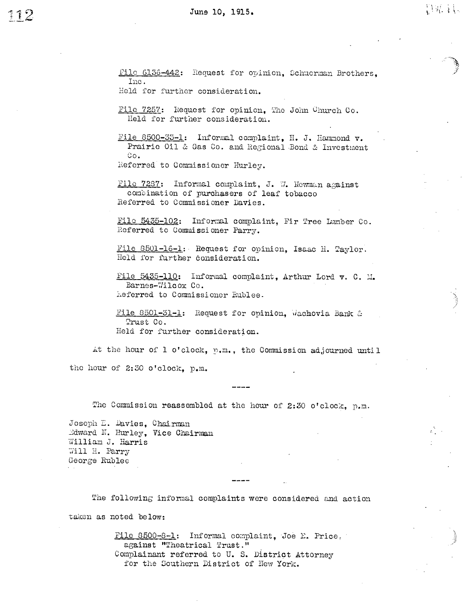File 6136-442: Request for opinion, Schuerman Brothers, 111e.

Held for further consideration.

File 7257: Hequest for opinion, The John Church Co. Held for further consideration.

File 8500-33-1: Informal complaint, H. J. Hammond v. Prairie Oil & Gas Co. and Regional Bond & Investment Co.

eferred to Commissioner Hurley.

File 7287: Informal complaint, J. W. Howman against combination of purchasers of leaf tobacco Referred to Commissioner Davies.

File 5435-102: Informal complaint, Fir Tree Lumber Co. Referred to Commissioner Parry.

File 8501-16-1: Request for opinion, Isaac H. Taylor. Held for further consideration.

File 5435-110: Informal complaint, Arthur Lord v. C. M. Barnes-Wilcox Co. heferred to Commissioner Rublee.

File 8501-31-1: Request for opinion, Wachovia Bank  $\alpha$ Trust Co. Held for further consideration.

At the hour of 1 o'clock, p.m., the Commission adjourned until the hour of  $2:50$  o'clock, p.m.

The Commission reassembled at the hour of 2:30 o'clock, p.m.

Joseph E. Davies, Chairman dward N. Hurley, Vice Chairman William J. Harris Will H. Parry George Ruolee

The following informal complaints were considered and action taken as noted below:

> File 8500-8-1: Informal complaint, Joe E. Price. against "Theatrical Trust." Complainant referred to U. S. District Attorney for the Southern District of New York.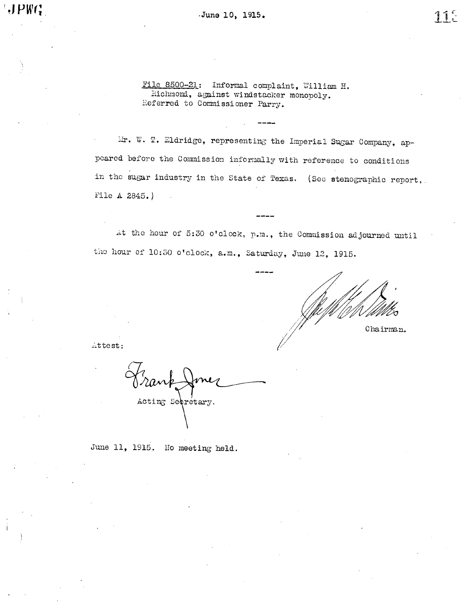June 10, 1915.

File 8500-21: Informal complaint, William H. Richmond, against windstacker monopoly. Referred to Commissioner Parry.

Mr. W. T. Eldridge, representing the Imperial Sugar Company, appeared before the Commission informally with reference to conditions in the sugar industry in the State of Texas. (See stenographic report, File A 2845.)

At the hour of 5:30 o'clock, p.m., the Commission adjourned until the hour of 10:30 o'clock, a.m., Saturday, June 12, 1915.

Chairman.

 $\triangle$ ttest:

Acting Secretary.

June 11, 1915. No meeting held.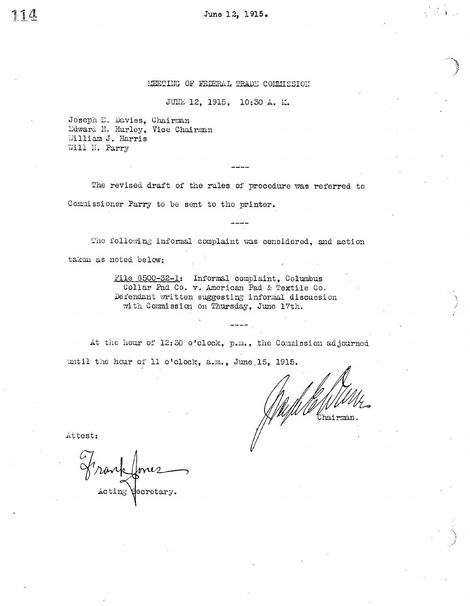June 12, 1915.

# MEETING OF FEDERAL TRADE COMMISSION

JUNE 12, 1915, 10:30 A. M.

ددنده

Joseph E. Davies, Chairman Edward N. Hurley, Vice Chairman William J. Harris Will H. Parry

The revised draft of the rules of procedure was referred to Commissioner Parry to be sent to the printer.

The following informal complaint was considered, and action takon as noted below:

> File 8500-32-1: Informal complaint, Columbus Collar Pad Co. v. American Pad & Textile Co. Defendant written suggesting informal discussion with Commission on Thursday, June 17th.

> > -----

At the hour of 12:30 o'clock, p.m., the Commission adjourned until the hour of 11 o'clock, a.m., June 15, 1915.

Chairman.

Attest:

Acting Hecretary.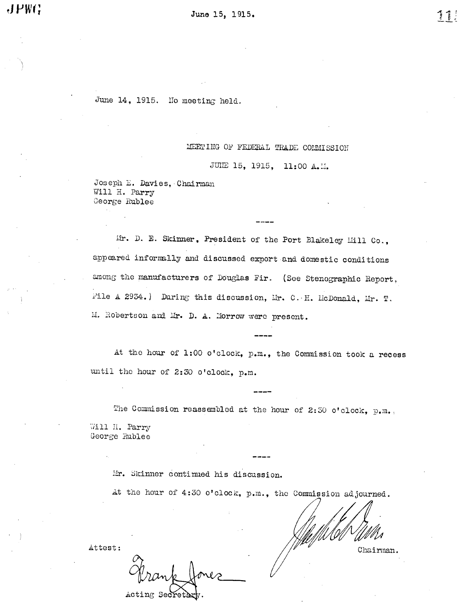11!

June 14, 1915. No meeting held.

# MEETING OF FEDERAL TRADE COMMISSION

JUIE 15, 1915, 11:00 A.M.

Joseph E. Davies, Chairman Will H. Parry George Rublee

Mr. D. E. Skinner, President of the Port Blakeley Mill Co., appeared informally and discussed export and domestic conditions among the manufacturers of Douglas Fir. (See Stenographic Report, File A 2934.) During this discussion, Mr. C. H. McDonald, Mr. T. M. Robertson and Mr. D. A. Morrow were present.

At the hour of 1:00 o'clock, p.m., the Commission took a recess until the hour of 2:30 o'clock, p.m.

The Commission reassembled at the hour of 2:50 o'clock, p.m. Will H. Parry George Rublee

Mr. Skinner continued his discussion.

At the hour of 4:30 o'clock, p.m., the Commission adjourned.

Attest:

Acting Secretary.

Chairman.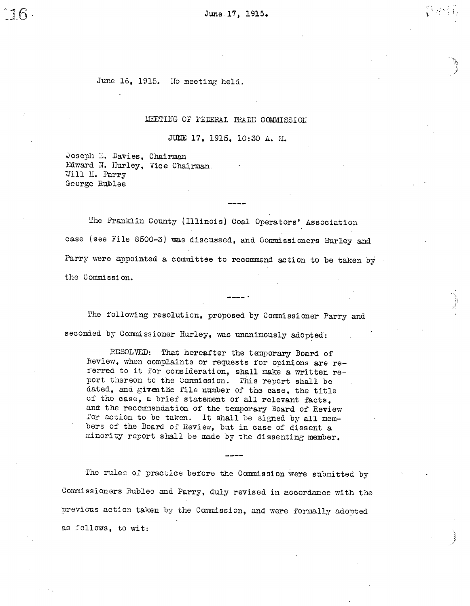June 17, 1915.

June 16, 1915. No meeting held.

LEETING OF FEDERAL TRADE COMMISSION

JUNE 17, 1915, 10:30 A. M.

Joseph E. Davies, Chai Edward N. Hurley, Vice Chairman Will H. Parry George Rublee

 $16$ 

The Franklin County (Illinois) Coal Operators' Association case (see File 8500-3) was discussed, and Commissioners Hurley and Parry were appointed a committee to recommend action to be taken by the Commission.

The following resolution, proposed by Commissioner Parry and seconded by Commissioner Hurley, was unanimously adopted:

RESOLVED: That hereafter the temporary Board of Review, when complaints or requests for opinions are referred to it for consideration, shall make a written report thereon to the Commission. This report shall be dated, and given the file number of the case, the title of the case, a brief statement of all relevant facts. and the recommendation of the temporary Board of Review for action to be taken. It shall be signed by all members of the Board of Review, but in case of dissent a minority report shall be made by the dissenting member.

The rules of practice before the Commission were submitted by Commissioners Rublee and Parry, duly revised in accordance with the previous action taken by the Commission, and were formally adopted as follows, to wit: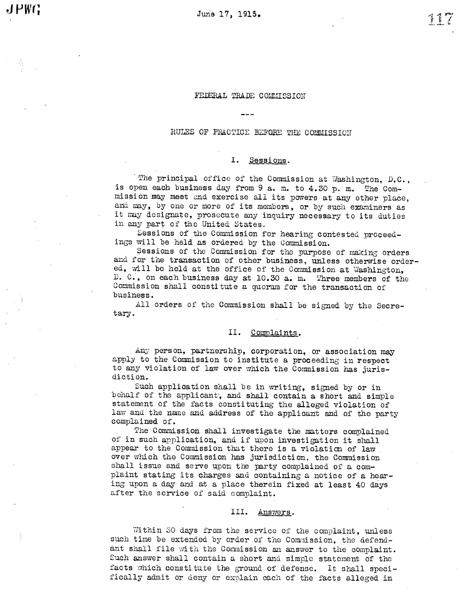# FEDERAL TRADE COMMISSION

# RULES OF PRACTICE BEFORE THE COMMISSION

# I. Sessions.

The principal office of the Commission at Washington,  $D.C.$ , is open each business day from 9 a. m. to 4. 30 p. m. The Commission may meet and exercise all its powers at any other place, and may, by one or more of its members, or by such examiners as it may designate, prosecute any inquiry necessary to its duties in any part of the United States.

Sessions of the Commission for hearing contested proceedings will be held as ordered by the Commission.

Sessions of the Commission for the purpose of making orders and for the transaction of other business, unless otherwise ordered, will be held at the office of the Commission at Washington, D. C., on each business day at 10.30 a.m. Three members of the Oommission shall consti tute a quoru for the transaction of business.

All orders of the Commission shall be signed by the Secretary.

## II. Comolaints

Any person, partnership, corporation, or association may apply to the Commission to institute a proceeding in respect to any violation of law over which the Commission has jurisdiction.

Such application shall be in writing, signed by or in behalf of the applicant, and shall contain a short and simple statement of the facts constituting the alleged violation of law and the name and address of the applicant and of the party complained of.

The Commission shall investigate the matters complained of in such application, and if upon investigation it shall appear to the Commission that there is a violation of law over which the Commission has jurisdiction, the Commission shall issue and serve upon the party complained of a complaint stating its charges and containing a notice of a hearing upon a day and at a place therein fixed at least 40 days after the service of said complaint.

### III. Answers.

Within 30 days from the service of the complaint, unless such time be extended by order of the Commission, the defendant shall file with the Commission an answer to the complaint. Such answer shall contain a short and simple statement of the facts which constitute the ground of defense. It shall specifically admit or deny or explain each of the facts alleged in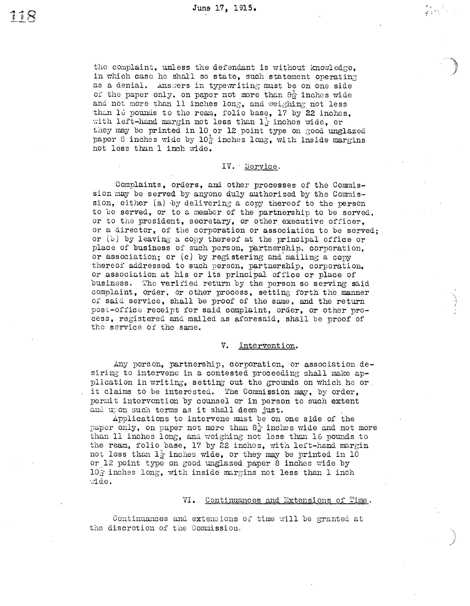Zarovania<br>arabisti

the complaint, unless the defendant is without knowledge. in which case he shall so state, such statement operating as a denial. Answers in type writing must be on one side oi the paper only, on paper not more than  $8\frac{1}{2}$  inches wide and not more than 11 inches long, and weighing not less than 16 pounds to the ream, folio base, 17 by 22 inches, with left-hand margin not less than  $1$  inches wide, or they may be printed in 10 or 12 point type on good unglazed paper 8 inches wide by  $10\frac{1}{2}$  inches long, with inside margins not less than 1 inch wide.

## IV. Service.

Complaints, orders, and other processes of the Commission may be served by anyone duly authorized by the Commission, either (a) by delivering a copy thereof to the person to be served, or to a member of the partnership to be served. or to the president, secretary, or other executive officer, or a director, of the corporation or association to be served; or  $(v)$  by leaving a copy thereof at the principal office or place of business of such person, partnership, corporation. or association; or (c) by registering and mailing a copy thereof addressed to such person, partnership, corporation, or association at his or its principal office or place of business. The verified return by the person so serving said complaint, order, or other process, setting forth the manner of said service, shall be proof of the same, and the return post-office receipt for said complaint, order, or other process, registered and mailed as aforesaid, shall be proof of the service of the same.

#### ν. Intervention.

Any person, partnership, corporation, or association de-siring to intervene in a contested proceeding shall make application in writing, setting out the grounds on which he or. it claims to be interested. The Commission may, by order, permit intervention by counsel or in person to such extent and upon such terms as it shall deem just.

Applications to intervene must be on one side of the paper only, on paper not more than  $8^{\frac{1}{2}}$  inches wide and not more than 11 inches long, and weighing not less than 16 pounds to the ream, folio base, 17 by 22 inches, with left-hand margin not less than  $1\frac{1}{2}$  inches wide, or they may be printed in 10 or 12 point type on good unglazed paper 8 inches wide by  $10\overline{3}$  inches long, with inside margins not less than 1 inch :ide.

### VI. Continuances and Extensions of Time.

Continuances and extensions of time will be granted at the discretion of the Commission.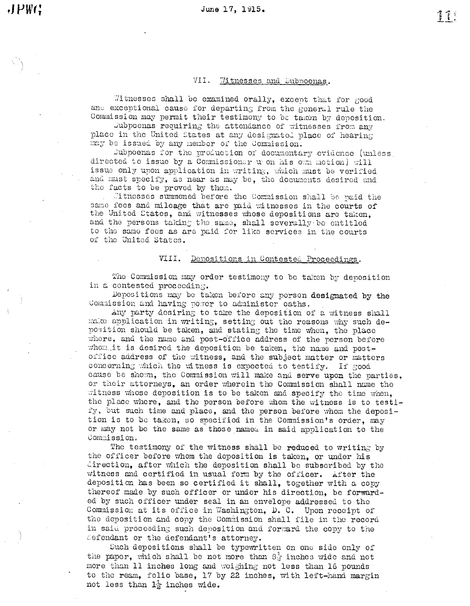#### VII. Witnesses and Subpoenas.

Witnesses shall be examined orally, except that for good and exceptional cause for departing from the general rule the Commission may permit their testimony to be taken by deposition.

Jubpoenas requiring the attendance of witnesses from any place in the United States at any designated place of hearing may be issued by any member of the Commission.

Dubpoenas for the production of documentary evidence (unless directed to issue by a Commissioner upon his own notion) will issue only upon application in writing, which must be verified and must specify, as near as may be, the documents desired and the facts to be proved by them.

Witnesses summoned before the Commission shall be paid the same fees and mileage that are paid witnesses in the courts of the United States, and witnesses whose depositions are taken, and the persons taking the same, shall severally be entitled to the same fees as are paid for like services in the courts of the United States.

### VIII. Depositions in Contested Proceedings.

The Commission may order testimony to be taken by deposition in a contested proceeding.

Depositions may be taken before any person designated by the Commission and having power to administer oaths.

Any party desiring to take the deposition of a witness shall make application in writing, setting out the reasons why such deposition should be taken, and stating the time when, the place where, and the name and post-office address of the person before whom it is desired the deposition be taken, the name and postoffice address of the witness, and the subject matter or matters concerning which the witness is expected to testify. If good cause be shown, the Commission will make and serve upon the parties, or their attorneys, an order wherein the Commission shall name the witness whose deposition is to be taken and specify the time when, the place where, and the person before whom the witness is to testify, but such time and place, and the person before whom the deposition is to be taken, so specified in the Commission's order, may or may not be the same as those named in said application to the Commission.

The testimony of the witness shall be reduced to writing by the officer before whom the deposition is taken, or under his direction, after which the deposition shall be subscribed by the witness and certified in usual form by the officer. After the deposition has been so certified it shall, together with a copy thereof made by such officer or under his direction, be forwarded by such officer under seal in an envelope addressed to the Commission at its office in Washington, D. C. Upon receipt of the deposition and copy the Commission shall file in the record in said proceeding such deposition and forward the copy to the defendant or the defendant's attorney.

Such depositions shall be typewritten on one side only of the paper, which shall be not more than 8 inches wide and not more than 11 inches long and weighing not less than 16 pounds to the ream, folio base, 17 by 22 inches, with left-hand margin not less than  $1\frac{1}{2}$  inches wide.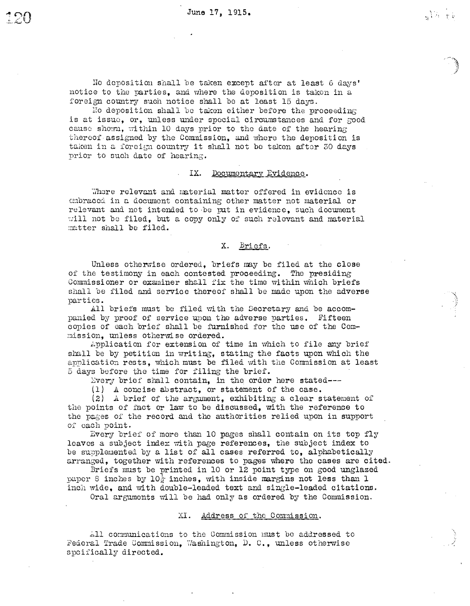$\mathcal{N} \times \mathcal{N}$ 

Ho deposition shall be taken except after at least 6 days' notice to the parties, and where the deposition is taken in a foreign country such notice shall be at least 15 days.

No deposition shall be taken either before the proceeding is at issue, or, unless under special circumstances and for good cause shown, within 10 days prior to the date of the hearing thereof assigned by the Commission, and where the deposition is taken in a foreign country it shall not be taken after 30 days prior to such date of hearing.

#### IX. Documentary Evidence.

Where relevant and material matter offered in evidence is embraced in a document containing other matter not material or relevant and not intended to be put in evidence, such document will not be filed, but a copy only of such relevant and material matter shall be filed.

X. Briefs.

Unless otherwise ordered. briefs may be filed at the close of the testimony in each contested proceeding. The presiding Commissioner or examiner shall fix the time within which briefs shall be filed and service thereof shall be made upon the adverse parties.

All briefs must be filed with the Secretary and be accompanied by proof of service upon the adverse parties. Fifteen copies of each brief shall be furnished for the use of the Commission, unless otherwise ordered.

Application for extension of time in which to file any brief shall be by petition in writing, stating the facts upon which the application rests, which must be filed with the Commission at least 5 days before the time for filing the brief.

Every brief shall contain, in the order here stated ---

(1) A concise abstract, or statement of the case.

 $(2)$  A brief of the argument. exhibiting a clear statement of the points of fact or law to be discussed. with the reference to the pages of the record and the authorities relied upon in support of each point.

Every brief of more than 10 pages shall contain on its top fly leaves a subject index with page references, the subject index to be supplemented by a list of all cases referred to, alphabetically arranged, together with references to pages where the cases are cited.

Briefs must be printed in 10 or 12 point type on good unglazed paper 8 inches by  $10\frac{1}{2}$  inches. with inside margins not less than 1 inch wide, and with double-leaded text and single-leaded citations.

Oral arguments will be had only as ordered by the Commission.

### Address of the Commission. XI.

All communications to the Commission must be addressed to Federal Trade Commission, Washington, D. C., unless otherwise spoifically directed.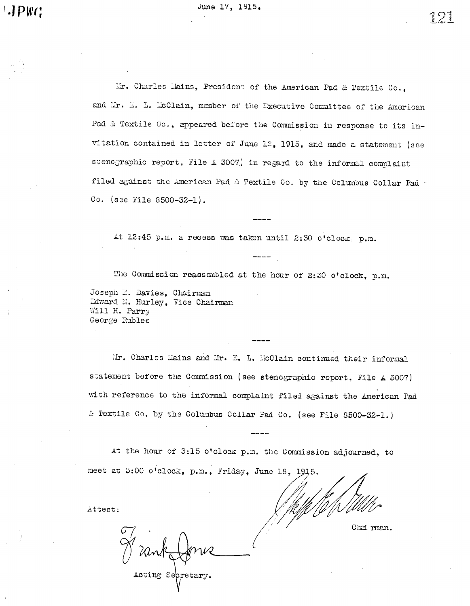PW(;

 $\Omega$ JL.

I.F. Charles Hains, President of the American Pad & Textile Co., and Mr. E. L. McClain, member of the Executive Committee of the American Pad & Textile Co., appeared before the Commission in response to its invitation contained in letter of June 12, 1915, and made a statement (see stenographic report, File A 3007) in regard to the informal complaint filed against the American Pad & Textile Co. by the Columbus Collar Pad Co. (see Yile 8500-32-1).

At 12:45 p.m. a recess was taken until 2:30 o'clock, p.m.

The Commission reassembled at the hour of 2:30 o'clock, p.m.

Joseph E. Davies, Chairman Ddward N. Hurley, Vice Chairman Will H. Parry George Rublee

Mr. Charles Mains and Mr. E. L. McClain continued their informal statement before the Commission (see stenographic report, File A 3007) with reference to the informal complaint filed against the American Pad & Textile Co. by the Columbus Collar Pad Co. (see File 8500-32-1.)

At the hour of 3:15 o'clock p.m. the Commission adjourned, to meet at 3:00 o'clock, p.m., Friday, June 18, 1915.

Attest:

Chairman.

Acting Sepretary